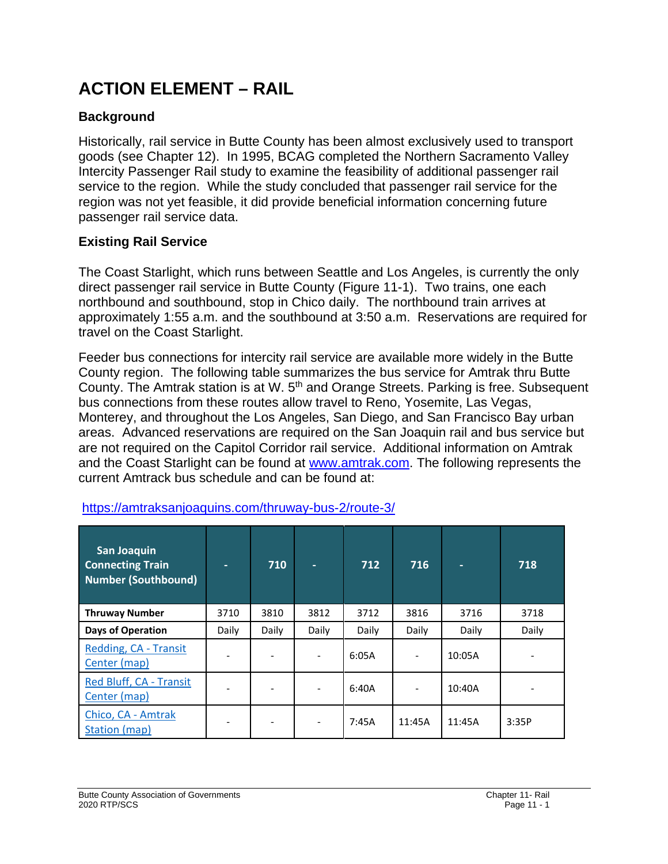# **ACTION ELEMENT – RAIL**

# **Background**

Historically, rail service in Butte County has been almost exclusively used to transport goods (see Chapter 12). In 1995, BCAG completed the Northern Sacramento Valley Intercity Passenger Rail study to examine the feasibility of additional passenger rail service to the region. While the study concluded that passenger rail service for the region was not yet feasible, it did provide beneficial information concerning future passenger rail service data.

# **Existing Rail Service**

The Coast Starlight, which runs between Seattle and Los Angeles, is currently the only direct passenger rail service in Butte County (Figure 11-1). Two trains, one each northbound and southbound, stop in Chico daily. The northbound train arrives at approximately 1:55 a.m. and the southbound at 3:50 a.m. Reservations are required for travel on the Coast Starlight.

Feeder bus connections for intercity rail service are available more widely in the Butte County region. The following table summarizes the bus service for Amtrak thru Butte County. The Amtrak station is at W. 5<sup>th</sup> and Orange Streets. Parking is free. Subsequent bus connections from these routes allow travel to Reno, Yosemite, Las Vegas, Monterey, and throughout the Los Angeles, San Diego, and San Francisco Bay urban areas. Advanced reservations are required on the San Joaquin rail and bus service but are not required on the Capitol Corridor rail service. Additional information on Amtrak and the Coast Starlight can be found at [www.amtrak.com.](http://www.amtrak.com/) The following represents the current Amtrack bus schedule and can be found at:

| <b>San Joaquin</b><br><b>Connecting Train</b><br><b>Number (Southbound)</b> | ٠     | 710   | ۰.    | 712   | 716    |        | 718   |
|-----------------------------------------------------------------------------|-------|-------|-------|-------|--------|--------|-------|
| <b>Thruway Number</b>                                                       | 3710  | 3810  | 3812  | 3712  | 3816   | 3716   | 3718  |
| <b>Days of Operation</b>                                                    | Daily | Daily | Daily | Daily | Daily  | Daily  | Daily |
| Redding, CA - Transit<br>Center (map)                                       |       |       |       | 6:05A |        | 10:05A |       |
| Red Bluff, CA - Transit<br>Center (map)                                     |       |       |       | 6:40A |        | 10:40A |       |
| Chico, CA - Amtrak<br>Station (map)                                         |       |       |       | 7:45A | 11:45A | 11:45A | 3:35P |

### <https://amtraksanjoaquins.com/thruway-bus-2/route-3/>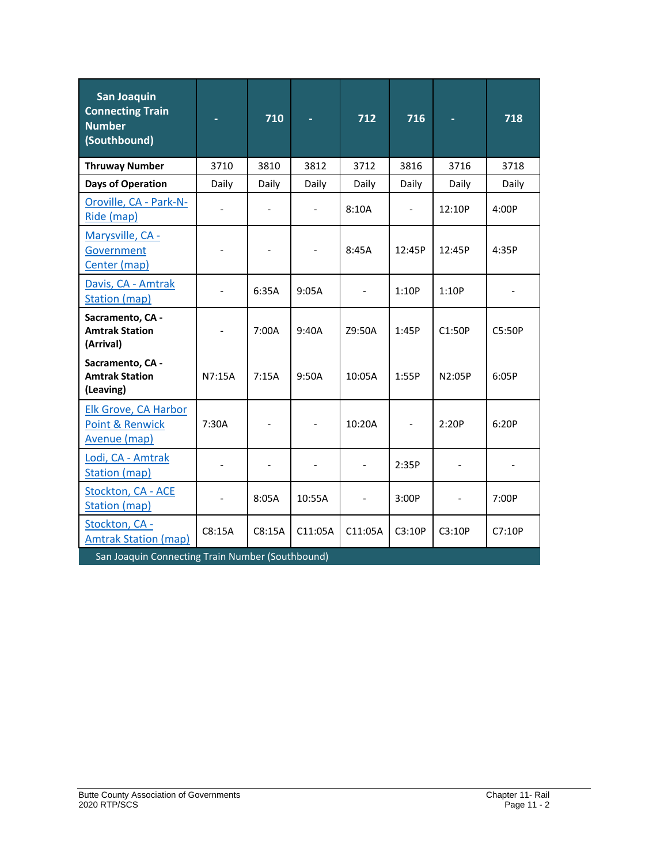| <b>San Joaquin</b><br><b>Connecting Train</b><br><b>Number</b><br>(Southbound) |        | 710    |         | 712            | 716    |        | 718    |  |
|--------------------------------------------------------------------------------|--------|--------|---------|----------------|--------|--------|--------|--|
| <b>Thruway Number</b>                                                          | 3710   | 3810   | 3812    | 3712           | 3816   | 3716   | 3718   |  |
| <b>Days of Operation</b>                                                       | Daily  | Daily  | Daily   | Daily          | Daily  | Daily  | Daily  |  |
| Oroville, CA - Park-N-<br>Ride (map)                                           |        |        |         | 8:10A          |        | 12:10P | 4:00P  |  |
| Marysville, CA -<br>Government<br>Center (map)                                 |        |        |         | 8:45A          | 12:45P | 12:45P | 4:35P  |  |
| Davis, CA - Amtrak<br><b>Station (map)</b>                                     |        | 6:35A  | 9:05A   |                | 1:10P  | 1:10P  |        |  |
| Sacramento, CA -<br><b>Amtrak Station</b><br>(Arrival)                         |        | 7:00A  | 9:40A   | Z9:50A         | 1:45P  | C1:50P | C5:50P |  |
| Sacramento, CA -<br><b>Amtrak Station</b><br>(Leaving)                         | N7:15A | 7:15A  | 9:50A   | 10:05A         | 1:55P  | N2:05P | 6:05P  |  |
| <b>Elk Grove, CA Harbor</b><br><b>Point &amp; Renwick</b><br>Avenue (map)      | 7:30A  |        |         | 10:20A         |        | 2:20P  | 6:20P  |  |
| Lodi, CA - Amtrak<br>Station (map)                                             |        |        |         | $\overline{a}$ | 2:35P  |        |        |  |
| Stockton, CA - ACE<br><b>Station (map)</b>                                     |        | 8:05A  | 10:55A  |                | 3:00P  |        | 7:00P  |  |
| Stockton, CA -<br><b>Amtrak Station (map)</b>                                  | C8:15A | C8:15A | C11:05A | C11:05A        | C3:10P | C3:10P | C7:10P |  |
| San Joaquin Connecting Train Number (Southbound)                               |        |        |         |                |        |        |        |  |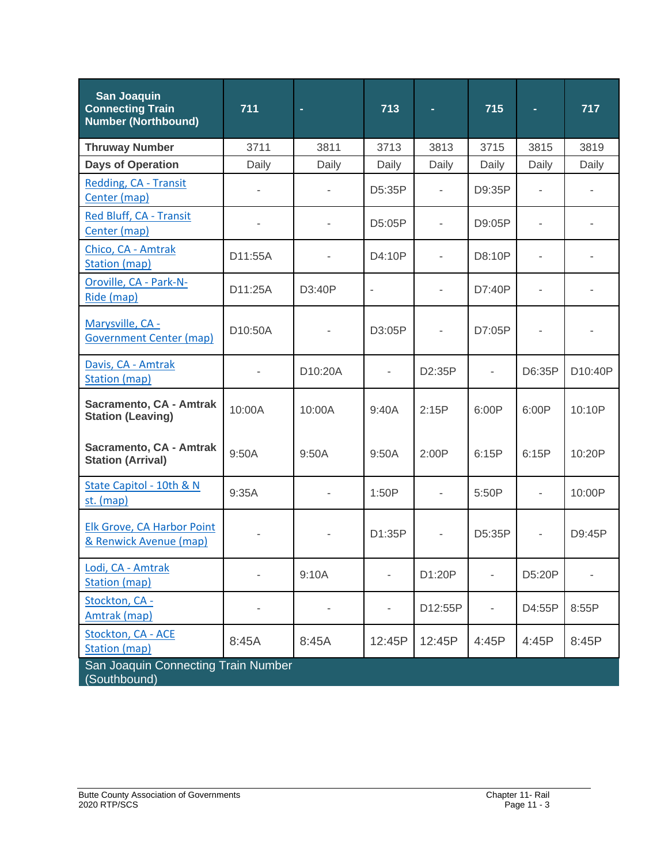| <b>San Joaquin</b><br><b>Connecting Train</b><br><b>Number (Northbound)</b> | 711     | $\blacksquare$ | 713                      |         | 715    | ٠                        | 717     |
|-----------------------------------------------------------------------------|---------|----------------|--------------------------|---------|--------|--------------------------|---------|
| <b>Thruway Number</b>                                                       | 3711    | 3811           | 3713                     | 3813    | 3715   | 3815                     | 3819    |
| <b>Days of Operation</b>                                                    | Daily   | Daily          | Daily                    | Daily   | Daily  | Daily                    | Daily   |
| Redding, CA - Transit<br>Center (map)                                       |         |                | D5:35P                   |         | D9:35P |                          |         |
| Red Bluff, CA - Transit<br>Center (map)                                     |         |                | D5:05P                   |         | D9:05P |                          |         |
| Chico, CA - Amtrak<br><b>Station (map)</b>                                  | D11:55A |                | D4:10P                   |         | D8:10P |                          |         |
| Oroville, CA - Park-N-<br>Ride (map)                                        | D11:25A | D3:40P         | $\overline{\phantom{a}}$ |         | D7:40P |                          |         |
| Marysville, CA -<br><b>Government Center (map)</b>                          | D10:50A |                | D3:05P                   |         | D7:05P |                          |         |
| Davis, CA - Amtrak<br><b>Station (map)</b>                                  |         | D10:20A        |                          | D2:35P  | ä,     | D6:35P                   | D10:40P |
| Sacramento, CA - Amtrak<br><b>Station (Leaving)</b>                         | 10:00A  | 10:00A         | 9:40A                    | 2:15P   | 6:00P  | 6:00P                    | 10:10P  |
| Sacramento, CA - Amtrak<br><b>Station (Arrival)</b>                         | 9:50A   | 9:50A          | 9:50A                    | 2:00P   | 6:15P  | 6:15P                    | 10:20P  |
| State Capitol - 10th & N<br>st. (map)                                       | 9:35A   |                | 1:50P                    |         | 5:50P  | $\overline{\phantom{a}}$ | 10:00P  |
| Elk Grove, CA Harbor Point<br>& Renwick Avenue (map)                        |         | -              | D1:35P                   |         | D5:35P | ÷,                       | D9:45P  |
| Lodi, CA - Amtrak<br><b>Station (map)</b>                                   |         | 9:10A          |                          | D1:20P  |        | D5:20P                   |         |
| Stockton, CA -<br>Amtrak (map)                                              |         |                |                          | D12:55P |        | D4:55P                   | 8:55P   |
| Stockton, CA - ACE<br><b>Station (map)</b>                                  | 8:45A   | 8:45A          | 12:45P                   | 12:45P  | 4:45P  | 4:45P                    | 8:45P   |
| San Joaquin Connecting Train Number<br>(Southbound)                         |         |                |                          |         |        |                          |         |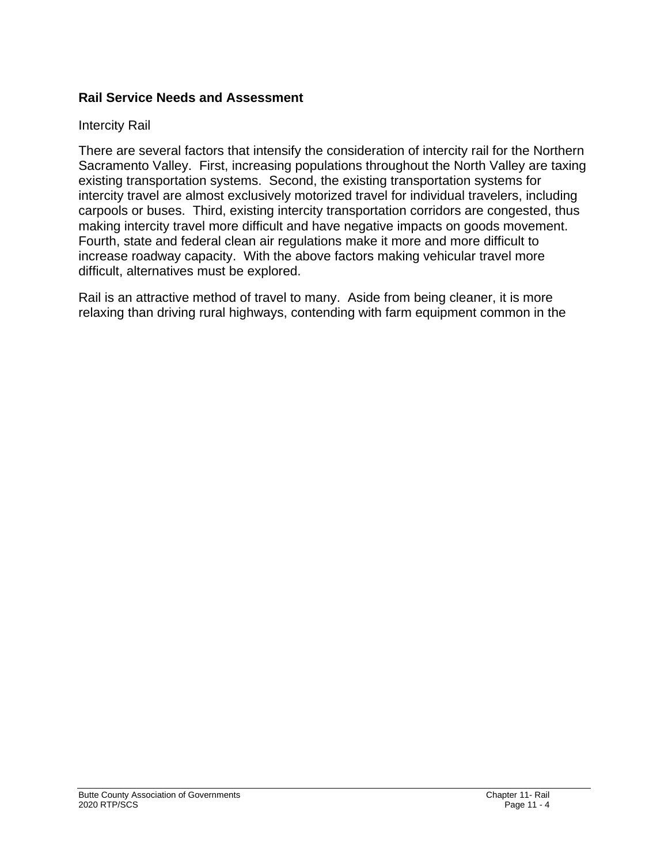### **Rail Service Needs and Assessment**

#### Intercity Rail

There are several factors that intensify the consideration of intercity rail for the Northern Sacramento Valley. First, increasing populations throughout the North Valley are taxing existing transportation systems. Second, the existing transportation systems for intercity travel are almost exclusively motorized travel for individual travelers, including carpools or buses. Third, existing intercity transportation corridors are congested, thus making intercity travel more difficult and have negative impacts on goods movement. Fourth, state and federal clean air regulations make it more and more difficult to increase roadway capacity. With the above factors making vehicular travel more difficult, alternatives must be explored.

Rail is an attractive method of travel to many. Aside from being cleaner, it is more relaxing than driving rural highways, contending with farm equipment common in the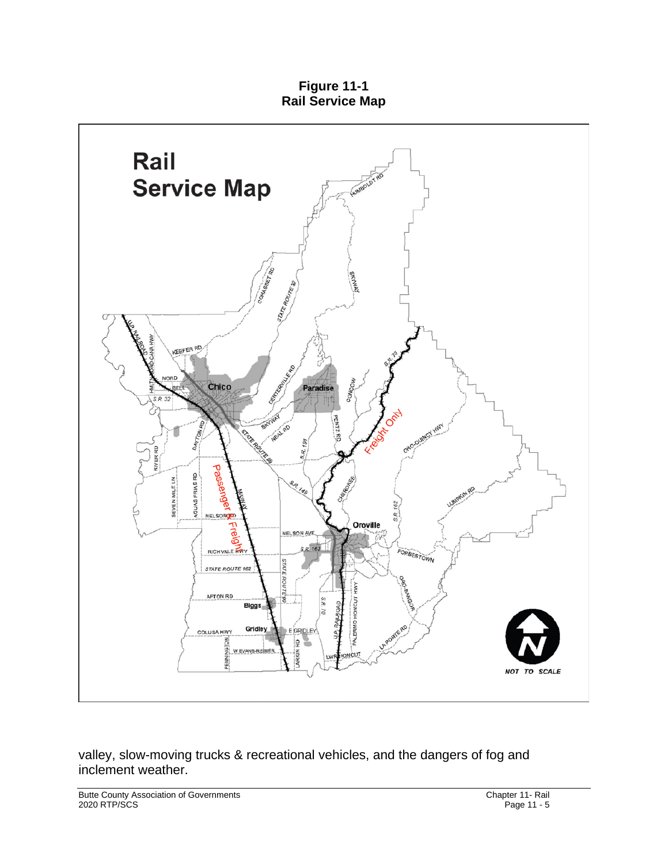**Figure 11-1 Rail Service Map**



valley, slow-moving trucks & recreational vehicles, and the dangers of fog and inclement weather.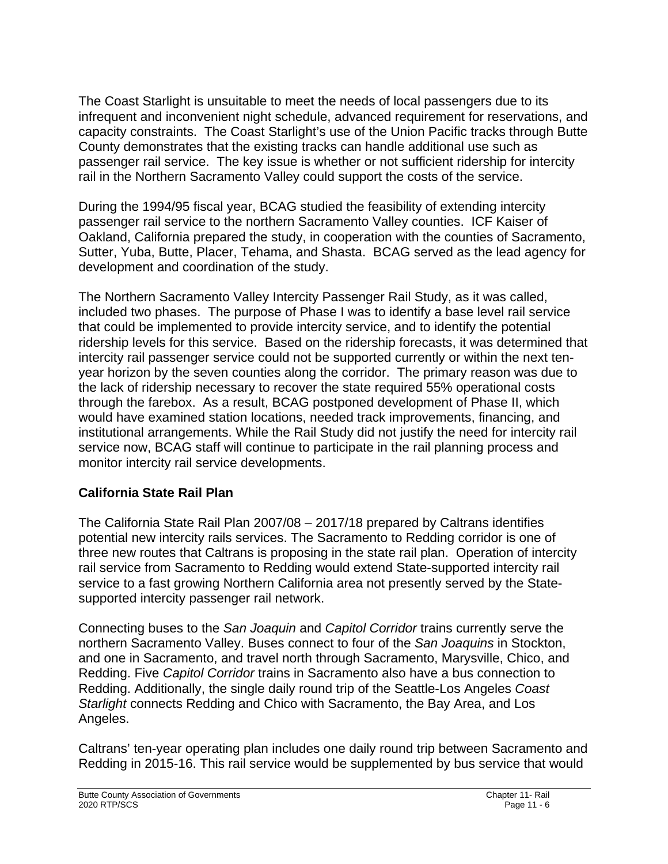The Coast Starlight is unsuitable to meet the needs of local passengers due to its infrequent and inconvenient night schedule, advanced requirement for reservations, and capacity constraints. The Coast Starlight's use of the Union Pacific tracks through Butte County demonstrates that the existing tracks can handle additional use such as passenger rail service. The key issue is whether or not sufficient ridership for intercity rail in the Northern Sacramento Valley could support the costs of the service.

During the 1994/95 fiscal year, BCAG studied the feasibility of extending intercity passenger rail service to the northern Sacramento Valley counties. ICF Kaiser of Oakland, California prepared the study, in cooperation with the counties of Sacramento, Sutter, Yuba, Butte, Placer, Tehama, and Shasta. BCAG served as the lead agency for development and coordination of the study.

The Northern Sacramento Valley Intercity Passenger Rail Study, as it was called, included two phases. The purpose of Phase I was to identify a base level rail service that could be implemented to provide intercity service, and to identify the potential ridership levels for this service. Based on the ridership forecasts, it was determined that intercity rail passenger service could not be supported currently or within the next tenyear horizon by the seven counties along the corridor. The primary reason was due to the lack of ridership necessary to recover the state required 55% operational costs through the farebox. As a result, BCAG postponed development of Phase II, which would have examined station locations, needed track improvements, financing, and institutional arrangements. While the Rail Study did not justify the need for intercity rail service now, BCAG staff will continue to participate in the rail planning process and monitor intercity rail service developments.

# **California State Rail Plan**

The California State Rail Plan 2007/08 – 2017/18 prepared by Caltrans identifies potential new intercity rails services. The Sacramento to Redding corridor is one of three new routes that Caltrans is proposing in the state rail plan. Operation of intercity rail service from Sacramento to Redding would extend State-supported intercity rail service to a fast growing Northern California area not presently served by the Statesupported intercity passenger rail network.

Connecting buses to the *San Joaquin* and *Capitol Corridor* trains currently serve the northern Sacramento Valley. Buses connect to four of the *San Joaquins* in Stockton, and one in Sacramento, and travel north through Sacramento, Marysville, Chico, and Redding. Five *Capitol Corridor* trains in Sacramento also have a bus connection to Redding. Additionally, the single daily round trip of the Seattle-Los Angeles *Coast Starlight* connects Redding and Chico with Sacramento, the Bay Area, and Los Angeles.

Caltrans' ten-year operating plan includes one daily round trip between Sacramento and Redding in 2015-16. This rail service would be supplemented by bus service that would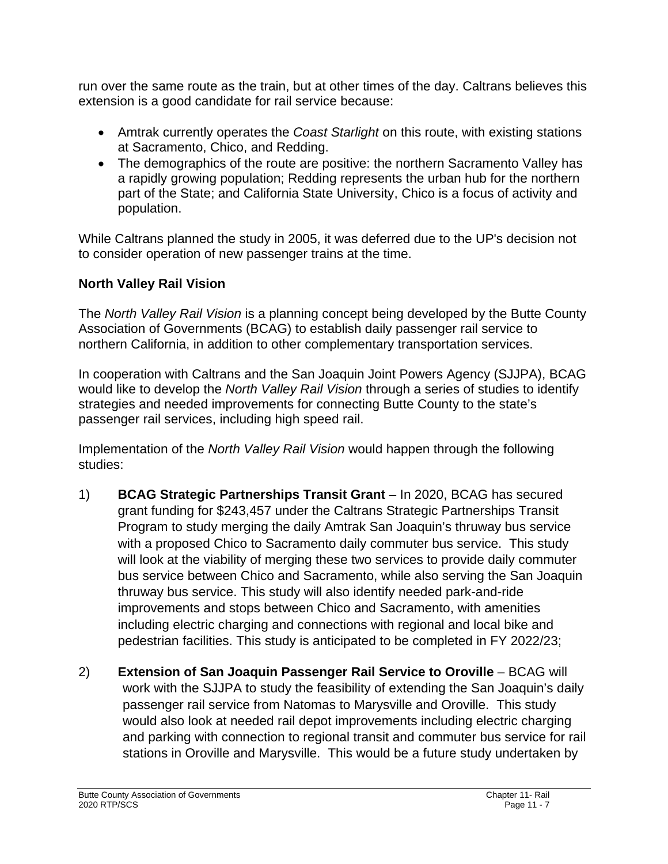run over the same route as the train, but at other times of the day. Caltrans believes this extension is a good candidate for rail service because:

- Amtrak currently operates the *Coast Starlight* on this route, with existing stations at Sacramento, Chico, and Redding.
- The demographics of the route are positive: the northern Sacramento Valley has a rapidly growing population; Redding represents the urban hub for the northern part of the State; and California State University, Chico is a focus of activity and population.

While Caltrans planned the study in 2005, it was deferred due to the UP's decision not to consider operation of new passenger trains at the time.

# **North Valley Rail Vision**

The *North Valley Rail Vision* is a planning concept being developed by the Butte County Association of Governments (BCAG) to establish daily passenger rail service to northern California, in addition to other complementary transportation services.

In cooperation with Caltrans and the San Joaquin Joint Powers Agency (SJJPA), BCAG would like to develop the *North Valley Rail Vision* through a series of studies to identify strategies and needed improvements for connecting Butte County to the state's passenger rail services, including high speed rail.

Implementation of the *North Valley Rail Vision* would happen through the following studies:

- 1) **BCAG Strategic Partnerships Transit Grant** In 2020, BCAG has secured grant funding for \$243,457 under the Caltrans Strategic Partnerships Transit Program to study merging the daily Amtrak San Joaquin's thruway bus service with a proposed Chico to Sacramento daily commuter bus service. This study will look at the viability of merging these two services to provide daily commuter bus service between Chico and Sacramento, while also serving the San Joaquin thruway bus service. This study will also identify needed park-and-ride improvements and stops between Chico and Sacramento, with amenities including electric charging and connections with regional and local bike and pedestrian facilities. This study is anticipated to be completed in FY 2022/23;
- 2) **Extension of San Joaquin Passenger Rail Service to Oroville BCAG will** work with the SJJPA to study the feasibility of extending the San Joaquin's daily passenger rail service from Natomas to Marysville and Oroville. This study would also look at needed rail depot improvements including electric charging and parking with connection to regional transit and commuter bus service for rail stations in Oroville and Marysville. This would be a future study undertaken by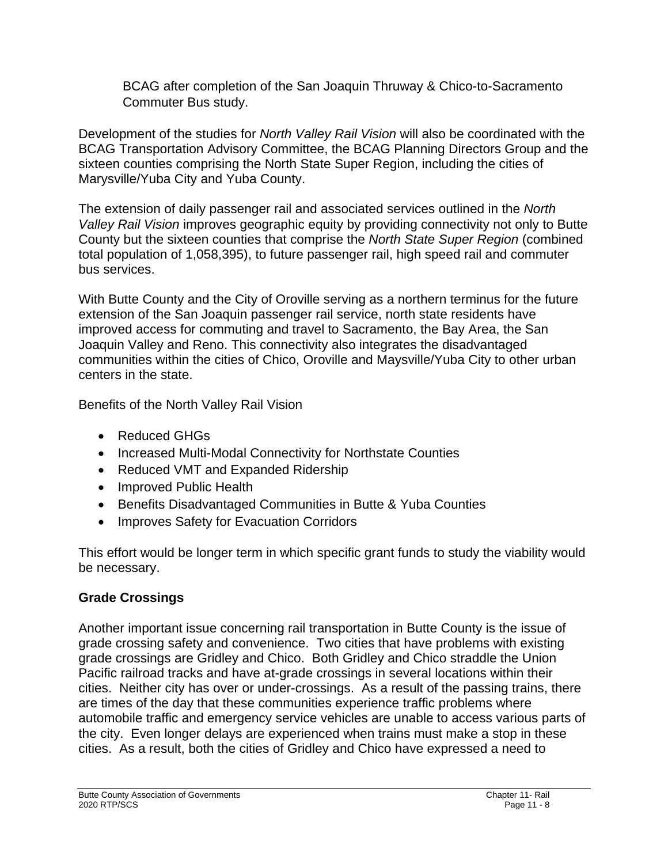BCAG after completion of the San Joaquin Thruway & Chico-to-Sacramento Commuter Bus study.

Development of the studies for *North Valley Rail Vision* will also be coordinated with the BCAG Transportation Advisory Committee, the BCAG Planning Directors Group and the sixteen counties comprising the North State Super Region, including the cities of Marysville/Yuba City and Yuba County.

The extension of daily passenger rail and associated services outlined in the *North Valley Rail Vision* improves geographic equity by providing connectivity not only to Butte County but the sixteen counties that comprise the *North State Super Region* (combined total population of 1,058,395), to future passenger rail, high speed rail and commuter bus services.

With Butte County and the City of Oroville serving as a northern terminus for the future extension of the San Joaquin passenger rail service, north state residents have improved access for commuting and travel to Sacramento, the Bay Area, the San Joaquin Valley and Reno. This connectivity also integrates the disadvantaged communities within the cities of Chico, Oroville and Maysville/Yuba City to other urban centers in the state.

Benefits of the North Valley Rail Vision

- Reduced GHGs
- Increased Multi-Modal Connectivity for Northstate Counties
- Reduced VMT and Expanded Ridership
- Improved Public Health
- Benefits Disadvantaged Communities in Butte & Yuba Counties
- Improves Safety for Evacuation Corridors

This effort would be longer term in which specific grant funds to study the viability would be necessary.

# **Grade Crossings**

Another important issue concerning rail transportation in Butte County is the issue of grade crossing safety and convenience. Two cities that have problems with existing grade crossings are Gridley and Chico. Both Gridley and Chico straddle the Union Pacific railroad tracks and have at-grade crossings in several locations within their cities. Neither city has over or under-crossings. As a result of the passing trains, there are times of the day that these communities experience traffic problems where automobile traffic and emergency service vehicles are unable to access various parts of the city. Even longer delays are experienced when trains must make a stop in these cities. As a result, both the cities of Gridley and Chico have expressed a need to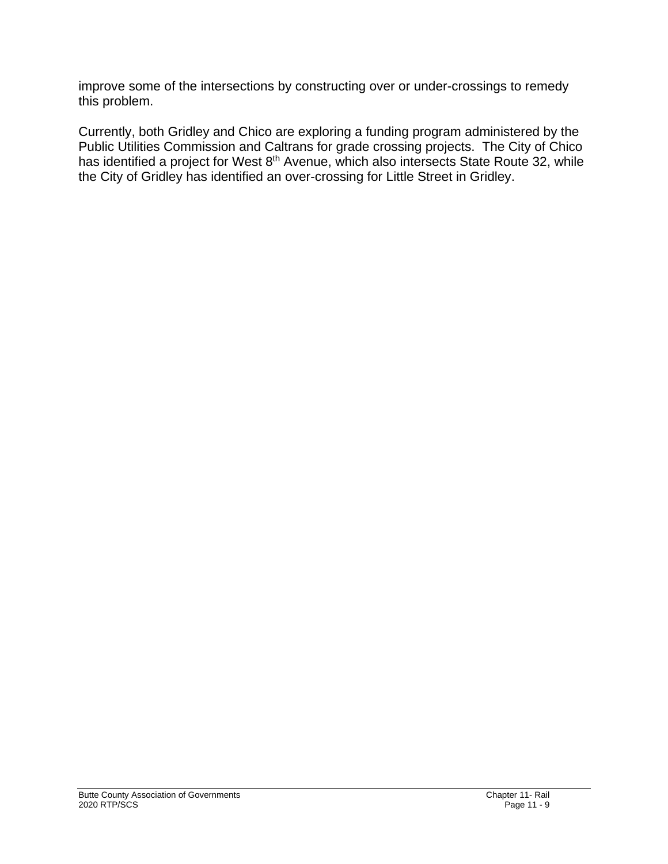improve some of the intersections by constructing over or under-crossings to remedy this problem.

Currently, both Gridley and Chico are exploring a funding program administered by the Public Utilities Commission and Caltrans for grade crossing projects. The City of Chico has identified a project for West 8<sup>th</sup> Avenue, which also intersects State Route 32, while the City of Gridley has identified an over-crossing for Little Street in Gridley.